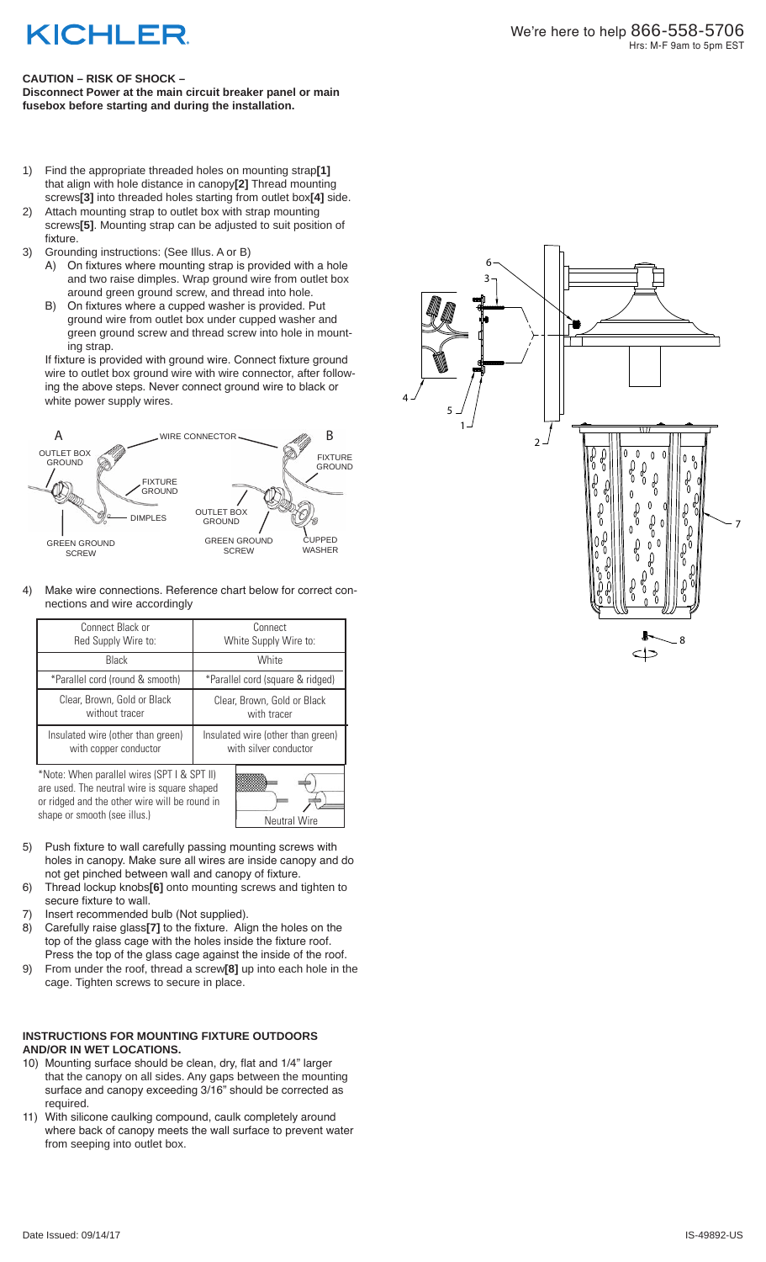# **KICHLER**

## **CAUTION – RISK OF SHOCK –**

**Disconnect Power at the main circuit breaker panel or main fusebox before starting and during the installation.** 

- 1) Find the appropriate threaded holes on mounting strap**[1]** that align with hole distance in canopy**[2]** Thread mounting screws**[3]** into threaded holes starting from outlet box**[4]** side.
- 2) Attach mounting strap to outlet box with strap mounting screws**[5]**. Mounting strap can be adjusted to suit position of fixture.
- 3) Grounding instructions: (See Illus. A or B)
- A) On fixtures where mounting strap is provided with a hole and two raise dimples. Wrap ground wire from outlet box around green ground screw, and thread into hole.
- B) On fixtures where a cupped washer is provided. Put ground wire from outlet box under cupped washer and green ground screw and thread screw into hole in mount ing strap.

 If fixture is provided with ground wire. Connect fixture ground wire to outlet box ground wire with wire connector, after follow ing the above steps. Never connect ground wire to black or white power supply wires.



4) Make wire connections. Reference chart below for correct connections and wire accordingly

| Connect Black or                                                                                               | Connect                           |
|----------------------------------------------------------------------------------------------------------------|-----------------------------------|
| Red Supply Wire to:                                                                                            | White Supply Wire to:             |
| <b>Black</b>                                                                                                   | White                             |
| *Parallel cord (round & smooth)                                                                                | *Parallel cord (square & ridged)  |
| Clear, Brown, Gold or Black                                                                                    | Clear, Brown, Gold or Black       |
| without tracer                                                                                                 | with tracer                       |
| Insulated wire (other than green)                                                                              | Insulated wire (other than green) |
| with copper conductor                                                                                          | with silver conductor             |
| $\cdots$<br>$\mathcal{L}$ a l $\mathcal{L}$ is a l $\mathcal{L}$<br>100T<br>$\cap$ $\cap$ $\top$ $\cup$ $\cup$ |                                   |

\*Note: When parallel wires (SPT I & SPT II) are used. The neutral wire is square shaped or ridged and the other wire will be round in shape or smooth (see illus.)

| <b>Neutral Wire</b> |  |
|---------------------|--|
|                     |  |

- 5) Push fixture to wall carefully passing mounting screws with holes in canopy. Make sure all wires are inside canopy and do not get pinched between wall and canopy of fixture.
- 6) Thread lockup knobs**[6]** onto mounting screws and tighten to secure fixture to wall.
- 7) Insert recommended bulb (Not supplied).
- 8) Carefully raise glass**[7]** to the fixture. Align the holes on the top of the glass cage with the holes inside the fixture roof. Press the top of the glass cage against the inside of the roof.
- 9) From under the roof, thread a screw**[8]** up into each hole in the cage. Tighten screws to secure in place.

#### **INSTRUCTIONS FOR MOUNTING FIXTURE OUTDOORS AND/OR IN WET LOCATIONS.**

- 10) Mounting surface should be clean, dry, flat and 1/4" larger that the canopy on all sides. Any gaps between the mounting surface and canopy exceeding 3/16" should be corrected as required.
- 11) With silicone caulking compound, caulk completely around where back of canopy meets the wall surface to prevent water from seeping into outlet box.